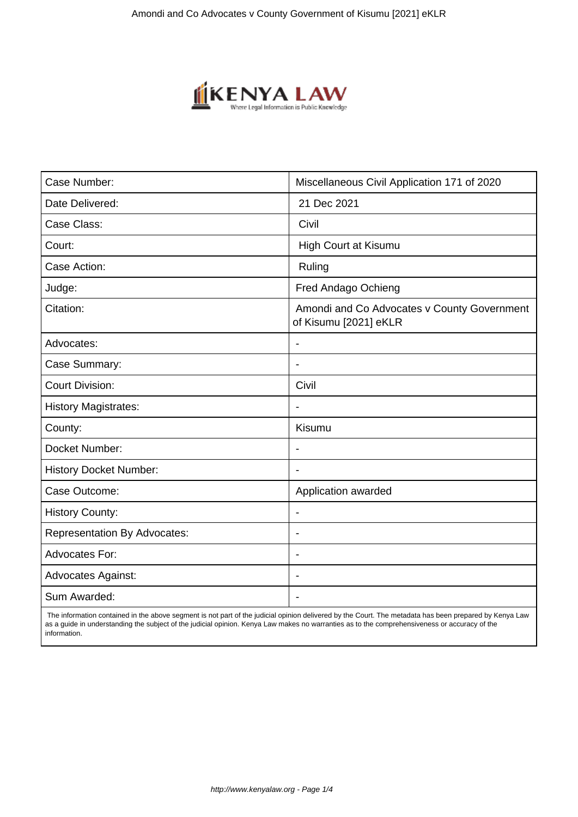

| Case Number:                        | Miscellaneous Civil Application 171 of 2020                          |
|-------------------------------------|----------------------------------------------------------------------|
| Date Delivered:                     | 21 Dec 2021                                                          |
| Case Class:                         | Civil                                                                |
| Court:                              | High Court at Kisumu                                                 |
| Case Action:                        | Ruling                                                               |
| Judge:                              | Fred Andago Ochieng                                                  |
| Citation:                           | Amondi and Co Advocates v County Government<br>of Kisumu [2021] eKLR |
| Advocates:                          |                                                                      |
| Case Summary:                       |                                                                      |
| <b>Court Division:</b>              | Civil                                                                |
| <b>History Magistrates:</b>         | $\blacksquare$                                                       |
| County:                             | <b>Kisumu</b>                                                        |
| Docket Number:                      |                                                                      |
| <b>History Docket Number:</b>       |                                                                      |
| Case Outcome:                       | Application awarded                                                  |
| <b>History County:</b>              | $\blacksquare$                                                       |
| <b>Representation By Advocates:</b> | $\overline{\phantom{0}}$                                             |
| Advocates For:                      | $\overline{\phantom{a}}$                                             |
| <b>Advocates Against:</b>           |                                                                      |
| Sum Awarded:                        |                                                                      |

 The information contained in the above segment is not part of the judicial opinion delivered by the Court. The metadata has been prepared by Kenya Law as a guide in understanding the subject of the judicial opinion. Kenya Law makes no warranties as to the comprehensiveness or accuracy of the information.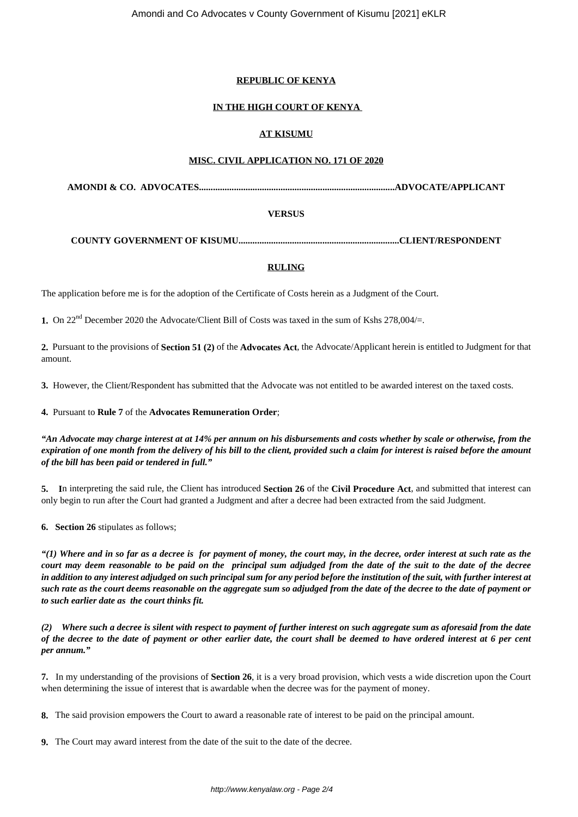## **REPUBLIC OF KENYA**

# **IN THE HIGH COURT OF KENYA**

## **AT KISUMU**

### **MISC. CIVIL APPLICATION NO. 171 OF 2020**

**AMONDI & CO. ADVOCATES....................................................................................ADVOCATE/APPLICANT**

### **VERSUS**

#### **COUNTY GOVERNMENT OF KISUMU.....................................................................CLIENT/RESPONDENT**

### **RULING**

The application before me is for the adoption of the Certificate of Costs herein as a Judgment of the Court.

**1.** On 22nd December 2020 the Advocate/Client Bill of Costs was taxed in the sum of Kshs 278,004/=.

**2.** Pursuant to the provisions of **Section 51 (2)** of the **Advocates Act**, the Advocate/Applicant herein is entitled to Judgment for that amount.

**3.** However, the Client/Respondent has submitted that the Advocate was not entitled to be awarded interest on the taxed costs.

**4.** Pursuant to **Rule 7** of the **Advocates Remuneration Order**;

*"An Advocate may charge interest at at 14% per annum on his disbursements and costs whether by scale or otherwise, from the expiration of one month from the delivery of his bill to the client, provided such a claim for interest is raised before the amount of the bill has been paid or tendered in full."*

**5. I**n interpreting the said rule, the Client has introduced **Section 26** of the **Civil Procedure Act**, and submitted that interest can only begin to run after the Court had granted a Judgment and after a decree had been extracted from the said Judgment.

**6. Section 26** stipulates as follows;

*"(1) Where and in so far as a decree is for payment of money, the court may, in the decree, order interest at such rate as the court may deem reasonable to be paid on the principal sum adjudged from the date of the suit to the date of the decree in addition to any interest adjudged on such principal sum for any period before the institution of the suit, with further interest at such rate as the court deems reasonable on the aggregate sum so adjudged from the date of the decree to the date of payment or to such earlier date as the court thinks fit.*

*(2) Where such a decree is silent with respect to payment of further interest on such aggregate sum as aforesaid from the date of the decree to the date of payment or other earlier date, the court shall be deemed to have ordered interest at 6 per cent per annum."*

**7.** In my understanding of the provisions of **Section 26**, it is a very broad provision, which vests a wide discretion upon the Court when determining the issue of interest that is awardable when the decree was for the payment of money.

**8.** The said provision empowers the Court to award a reasonable rate of interest to be paid on the principal amount.

**9.** The Court may award interest from the date of the suit to the date of the decree.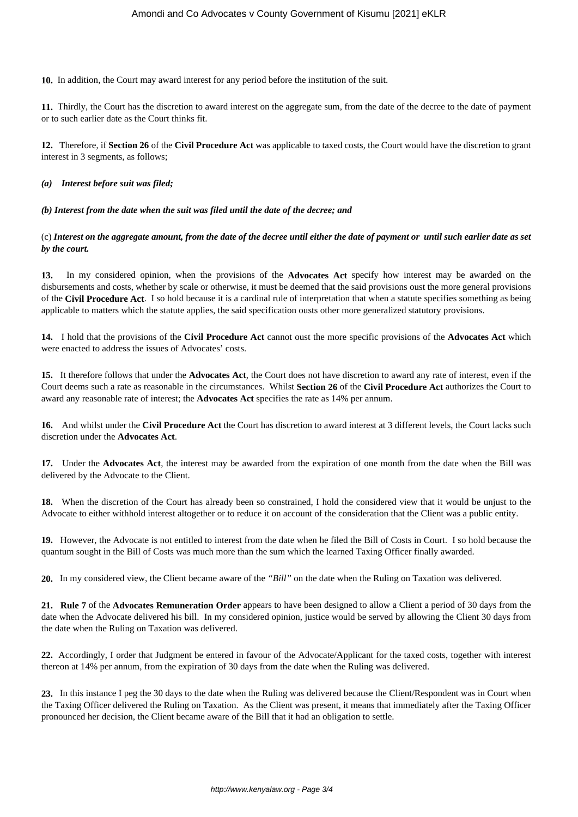**10.** In addition, the Court may award interest for any period before the institution of the suit.

**11.** Thirdly, the Court has the discretion to award interest on the aggregate sum, from the date of the decree to the date of payment or to such earlier date as the Court thinks fit.

**12.** Therefore, if **Section 26** of the **Civil Procedure Act** was applicable to taxed costs, the Court would have the discretion to grant interest in 3 segments, as follows;

### *(a) Interest before suit was filed;*

### *(b) Interest from the date when the suit was filed until the date of the decree; and*

(c) *Interest on the aggregate amount, from the date of the decree until either the date of payment or until such earlier date as set by the court.*

**13.** In my considered opinion, when the provisions of the **Advocates Act** specify how interest may be awarded on the disbursements and costs, whether by scale or otherwise, it must be deemed that the said provisions oust the more general provisions of the **Civil Procedure Act**. I so hold because it is a cardinal rule of interpretation that when a statute specifies something as being applicable to matters which the statute applies, the said specification ousts other more generalized statutory provisions.

**14.** I hold that the provisions of the **Civil Procedure Act** cannot oust the more specific provisions of the **Advocates Act** which were enacted to address the issues of Advocates' costs.

**15.** It therefore follows that under the **Advocates Act**, the Court does not have discretion to award any rate of interest, even if the Court deems such a rate as reasonable in the circumstances. Whilst **Section 26** of the **Civil Procedure Act** authorizes the Court to award any reasonable rate of interest; the **Advocates Act** specifies the rate as 14% per annum.

**16.** And whilst under the **Civil Procedure Act** the Court has discretion to award interest at 3 different levels, the Court lacks such discretion under the **Advocates Act**.

**17.** Under the **Advocates Act**, the interest may be awarded from the expiration of one month from the date when the Bill was delivered by the Advocate to the Client.

**18.** When the discretion of the Court has already been so constrained, I hold the considered view that it would be unjust to the Advocate to either withhold interest altogether or to reduce it on account of the consideration that the Client was a public entity.

**19.** However, the Advocate is not entitled to interest from the date when he filed the Bill of Costs in Court. I so hold because the quantum sought in the Bill of Costs was much more than the sum which the learned Taxing Officer finally awarded.

**20.** In my considered view, the Client became aware of the *"Bill"* on the date when the Ruling on Taxation was delivered.

**21. Rule 7** of the **Advocates Remuneration Order** appears to have been designed to allow a Client a period of 30 days from the date when the Advocate delivered his bill. In my considered opinion, justice would be served by allowing the Client 30 days from the date when the Ruling on Taxation was delivered.

**22.** Accordingly, I order that Judgment be entered in favour of the Advocate/Applicant for the taxed costs, together with interest thereon at 14% per annum, from the expiration of 30 days from the date when the Ruling was delivered.

**23.** In this instance I peg the 30 days to the date when the Ruling was delivered because the Client/Respondent was in Court when the Taxing Officer delivered the Ruling on Taxation. As the Client was present, it means that immediately after the Taxing Officer pronounced her decision, the Client became aware of the Bill that it had an obligation to settle.